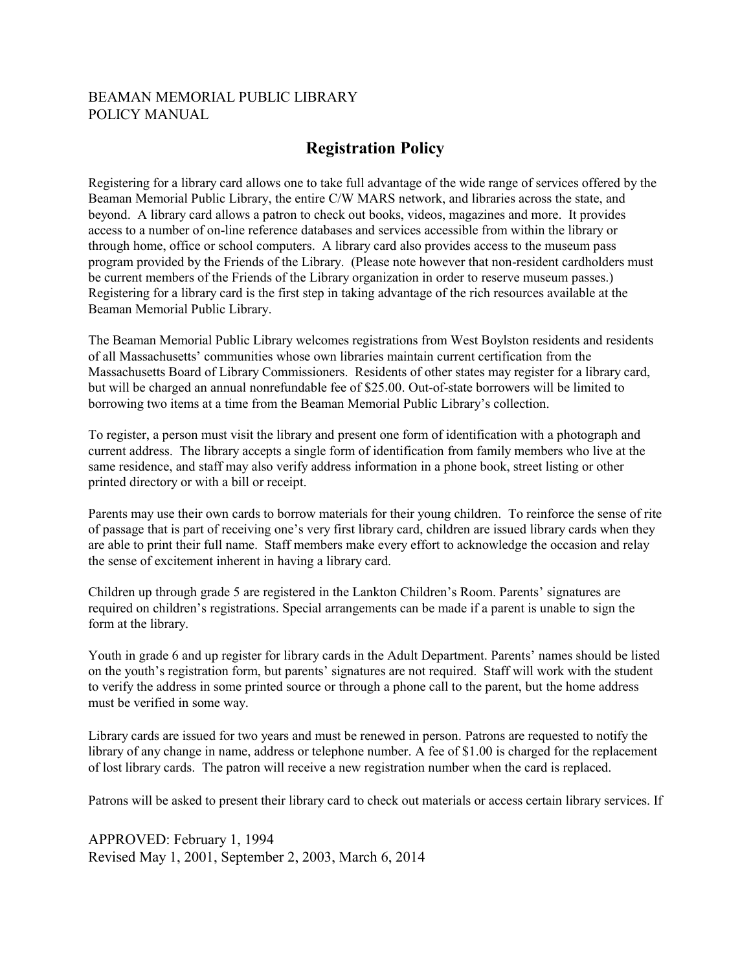## BEAMAN MEMORIAL PUBLIC LIBRARY POLICY MANUAL

## **Registration Policy**

Registering for a library card allows one to take full advantage of the wide range of services offered by the Beaman Memorial Public Library, the entire C/W MARS network, and libraries across the state, and beyond. A library card allows a patron to check out books, videos, magazines and more. It provides access to a number of on-line reference databases and services accessible from within the library or through home, office or school computers. A library card also provides access to the museum pass program provided by the Friends of the Library. (Please note however that non-resident cardholders must be current members of the Friends of the Library organization in order to reserve museum passes.) Registering for a library card is the first step in taking advantage of the rich resources available at the Beaman Memorial Public Library.

The Beaman Memorial Public Library welcomes registrations from West Boylston residents and residents of all Massachusetts' communities whose own libraries maintain current certification from the Massachusetts Board of Library Commissioners. Residents of other states may register for a library card, but will be charged an annual nonrefundable fee of \$25.00. Out-of-state borrowers will be limited to borrowing two items at a time from the Beaman Memorial Public Library's collection.

To register, a person must visit the library and present one form of identification with a photograph and current address. The library accepts a single form of identification from family members who live at the same residence, and staff may also verify address information in a phone book, street listing or other printed directory or with a bill or receipt.

Parents may use their own cards to borrow materials for their young children. To reinforce the sense of rite of passage that is part of receiving one's very first library card, children are issued library cards when they are able to print their full name. Staff members make every effort to acknowledge the occasion and relay the sense of excitement inherent in having a library card.

Children up through grade 5 are registered in the Lankton Children's Room. Parents' signatures are required on children's registrations. Special arrangements can be made if a parent is unable to sign the form at the library.

Youth in grade 6 and up register for library cards in the Adult Department. Parents' names should be listed on the youth's registration form, but parents' signatures are not required. Staff will work with the student to verify the address in some printed source or through a phone call to the parent, but the home address must be verified in some way.

Library cards are issued for two years and must be renewed in person. Patrons are requested to notify the library of any change in name, address or telephone number. A fee of \$1.00 is charged for the replacement of lost library cards. The patron will receive a new registration number when the card is replaced.

Patrons will be asked to present their library card to check out materials or access certain library services. If

APPROVED: February 1, 1994 Revised May 1, 2001, September 2, 2003, March 6, 2014